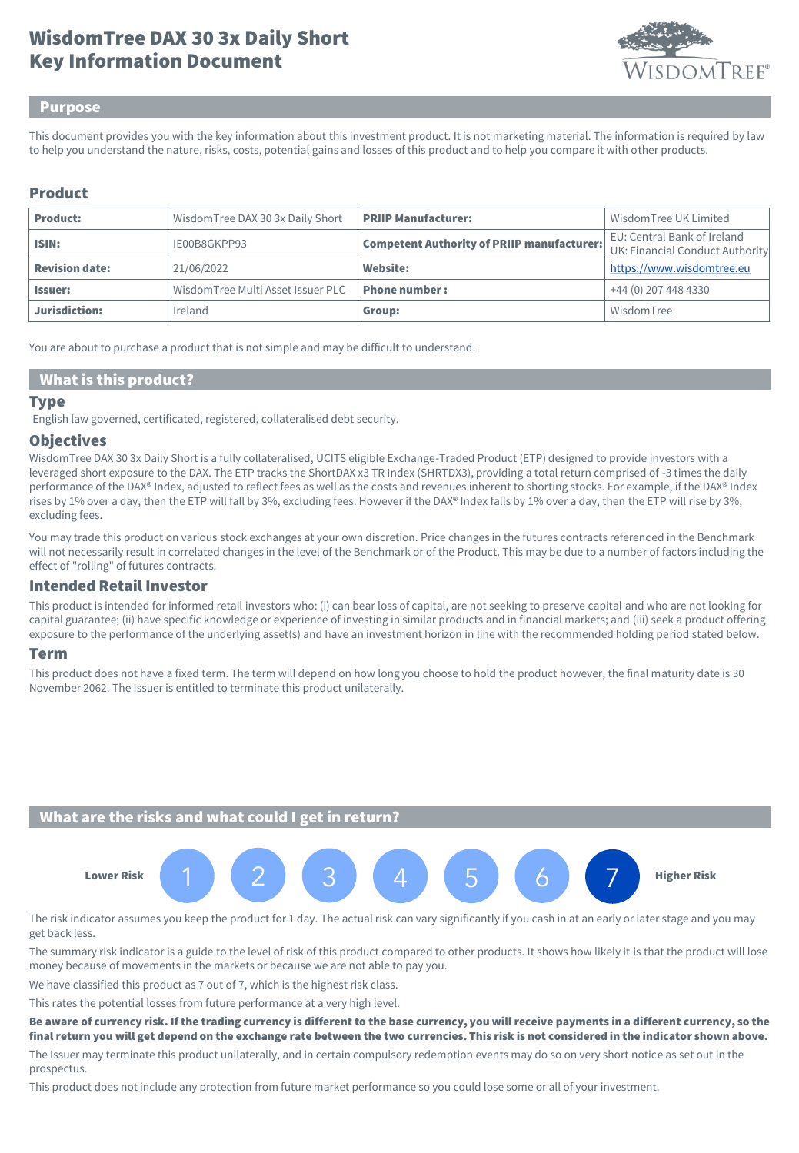# Key Information Document WisdomTree DAX 30 3x Daily Short



#### Purpose

This document provides you with the key information about this investment product. It is not marketing material. The information is required by law to help you understand the nature, risks, costs, potential gains and losses of this product and to help you compare it with other products.

### Product

| <b>Product:</b>       | WisdomTree DAX 30 3x Daily Short  | <b>PRIIP Manufacturer:</b>                        | Wisdom Tree UK Limited                                         |
|-----------------------|-----------------------------------|---------------------------------------------------|----------------------------------------------------------------|
| ISIN:                 | IE00B8GKPP93                      | <b>Competent Authority of PRIIP manufacturer:</b> | EU: Central Bank of Ireland<br>UK: Financial Conduct Authority |
| <b>Revision date:</b> | 21/06/2022                        | <b>Website:</b>                                   | https://www.wisdomtree.eu                                      |
| <b>Issuer:</b>        | WisdomTree Multi Asset Issuer PLC | <b>Phone number:</b>                              | +44 (0) 207 448 4330                                           |
| Jurisdiction:         | Ireland                           | Group:                                            | WisdomTree                                                     |

You are about to purchase a product that is not simple and may be difficult to understand.

### What is this product?

#### **Type**

English law governed, certificated, registered, collateralised debt security.

#### **Objectives**

WisdomTree DAX 30 3x Daily Short is a fully collateralised, UCITS eligible Exchange-Traded Product (ETP) designed to provide investors with a leveraged short exposure to the DAX. The ETP tracks the ShortDAX x3 TR Index (SHRTDX3), providing a total return comprised of -3 times the daily performance of the DAX® Index, adjusted to reflect fees as well as the costs and revenues inherent to shorting stocks. For example, if the DAX® Index rises by 1% over a day, then the ETP will fall by 3%, excluding fees. However if the DAX® Index falls by 1% over a day, then the ETP will rise by 3%, excluding fees.

You may trade this product on various stock exchanges at your own discretion. Price changes in the futures contracts referenced in the Benchmark will not necessarily result in correlated changes in the level of the Benchmark or of the Product. This may be due to a number of factors including the effect of "rolling" of futures contracts.

### Intended Retail Investor

This product is intended for informed retail investors who: (i) can bear loss of capital, are not seeking to preserve capital and who are not looking for capital guarantee; (ii) have specific knowledge or experience of investing in similar products and in financial markets; and (iii) seek a product offering exposure to the performance of the underlying asset(s) and have an investment horizon in line with the recommended holding period stated below.

#### Term

This product does not have a fixed term. The term will depend on how long you choose to hold the product however, the final maturity date is 30 November 2062. The Issuer is entitled to terminate this product unilaterally.

#### What are the risks and what could I get in return?



The risk indicator assumes you keep the product for 1 day. The actual risk can vary significantly if you cash in at an early or later stage and you may get back less.

The summary risk indicator is a guide to the level of risk of this product compared to other products. It shows how likely it is that the product will lose money because of movements in the markets or because we are not able to pay you.

We have classified this product as 7 out of 7, which is the highest risk class.

This rates the potential losses from future performance at a very high level.

Be aware of currency risk. If the trading currency is different to the base currency, you will receive payments in a different currency, so the final return you will get depend on the exchange rate between the two currencies. This risk is not considered in the indicator shown above.

The Issuer may terminate this product unilaterally, and in certain compulsory redemption events may do so on very short notice as set out in the prospectus.

This product does not include any protection from future market performance so you could lose some or all of your investment.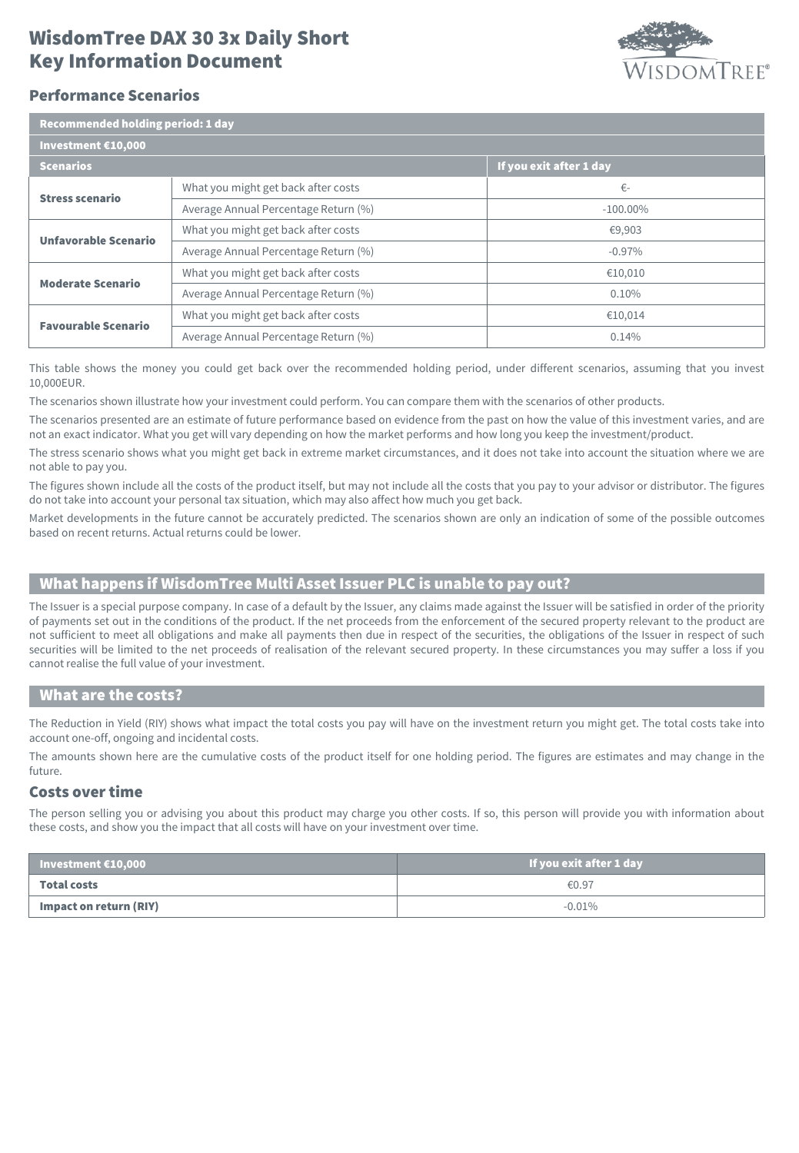## Key Information Document WisdomTree DAX 30 3x Daily Short



### Performance Scenarios

| Recommended holding period: 1 day |                                      |                         |  |  |
|-----------------------------------|--------------------------------------|-------------------------|--|--|
| Investment €10,000                |                                      |                         |  |  |
| <b>Scenarios</b>                  |                                      | If you exit after 1 day |  |  |
| <b>Stress scenario</b>            | What you might get back after costs  | €-                      |  |  |
|                                   | Average Annual Percentage Return (%) | $-100.00\%$             |  |  |
| <b>Unfavorable Scenario</b>       | What you might get back after costs  | €9,903                  |  |  |
|                                   | Average Annual Percentage Return (%) | $-0.97\%$               |  |  |
| <b>Moderate Scenario</b>          | What you might get back after costs  | €10,010                 |  |  |
|                                   | Average Annual Percentage Return (%) | $0.10\%$                |  |  |
| <b>Favourable Scenario</b>        | What you might get back after costs  | €10.014                 |  |  |
|                                   | Average Annual Percentage Return (%) | 0.14%                   |  |  |

This table shows the money you could get back over the recommended holding period, under different scenarios, assuming that you invest 10,000EUR.

The scenarios shown illustrate how your investment could perform. You can compare them with the scenarios of other products.

The scenarios presented are an estimate of future performance based on evidence from the past on how the value of this investment varies, and are not an exact indicator. What you get will vary depending on how the market performs and how long you keep the investment/product.

The stress scenario shows what you might get back in extreme market circumstances, and it does not take into account the situation where we are not able to pay you.

The figures shown include all the costs of the product itself, but may not include all the costs that you pay to your advisor or distributor. The figures do not take into account your personal tax situation, which may also affect how much you get back.

Market developments in the future cannot be accurately predicted. The scenarios shown are only an indication of some of the possible outcomes based on recent returns. Actual returns could be lower.

## What happens if WisdomTree Multi Asset Issuer PLC is unable to pay out?

The Issuer is a special purpose company. In case of a default by the Issuer, any claims made against the Issuer will be satisfied in order of the priority of payments set out in the conditions of the product. If the net proceeds from the enforcement of the secured property relevant to the product are not sufficient to meet all obligations and make all payments then due in respect of the securities, the obligations of the Issuer in respect of such securities will be limited to the net proceeds of realisation of the relevant secured property. In these circumstances you may suffer a loss if you cannot realise the full value of your investment.

#### What are the costs?

The Reduction in Yield (RIY) shows what impact the total costs you pay will have on the investment return you might get. The total costs take into account one-off, ongoing and incidental costs.

The amounts shown here are the cumulative costs of the product itself for one holding period. The figures are estimates and may change in the future.

### Costs over time

The person selling you or advising you about this product may charge you other costs. If so, this person will provide you with information about these costs, and show you the impact that all costs will have on your investment over time.

| $\blacksquare$ Investment $\bm{\epsilon}$ 10,000 | If you exit after 1 day |  |
|--------------------------------------------------|-------------------------|--|
| <b>Total costs</b>                               | €0.97                   |  |
| Impact on return (RIY)                           | $-0.01\%$               |  |